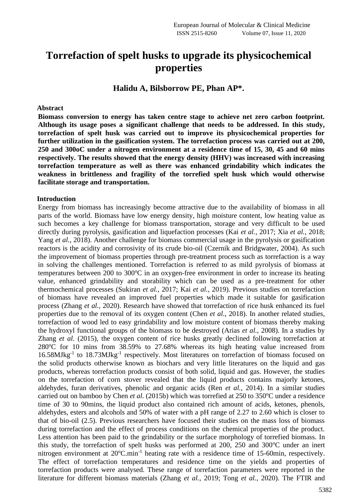# **Torrefaction of spelt husks to upgrade its physicochemical properties**

**Halidu A, Bilsborrow PE, Phan AP\*.**

#### **Abstract**

**Biomass conversion to energy has taken centre stage to achieve net zero carbon footprint. Although its usage poses a significant challenge that needs to be addressed. In this study, torrefaction of spelt husk was carried out to improve its physicochemical properties for further utilization in the gasification system. The torrefaction process was carried out at 200, 250 and 300oC under a nitrogen environment at a residence time of 15, 30, 45 and 60 mins respectively. The results showed that the energy density (HHV) was increased with increasing torrefaction temperature as well as there was enhanced grindability which indicates the weakness in brittleness and fragility of the torrefied spelt husk which would otherwise facilitate storage and transportation.**

#### **Introduction**

Energy from biomass has increasingly become attractive due to the availability of biomass in all parts of the world. Biomass have low energy density, high moisture content, low heating value as such becomes a key challenge for biomass transportation, storage and very difficult to be used directly during pyrolysis, gasification and liquefaction processes (Kai *et al.*, 2017; Xia *et al.*, 2018; Yang *et al.*, 2018). Another challenge for biomass commercial usage in the pyrolysis or gasification reactors is the acidity and corrosivity of its crude bio-oil (Czernik and Bridgwater, 2004). As such the improvement of biomass properties through pre-treatment process such as torrefaction is a way in solving the challenges mentioned. Torrefaction is referred to as mild pyrolysis of biomass at temperatures between  $200$  to  $300^{\circ}$ C in an oxygen-free environment in order to increase its heating value, enhanced grindability and storability which can be used as a pre-treatment for other thermochemical processes (Sukiran *et al.*, 2017; Kai *et al.*, 2019). Previous studies on torrefaction of biomass have revealed an improved fuel properties which made it suitable for gasification process (Zhang *et al.*, 2020). Research have showed that torrefaction of rice husk enhanced its fuel properties due to the removal of its oxygen content (Chen *et al.*, 2018). In another related studies, torrefaction of wood led to easy grindability and low moisture content of biomass thereby making the hydroxyl functional groups of the biomass to be destroyed (Arias *et al.*, 2008). In a studies by Zhang *et al.* (2015), the oxygen content of rice husks greatly declined following torrefaction at  $280^{\circ}$ C for 10 mins from 38.59% to 27.68% whereas its high heating value increased from 16.58MJkg<sup>-1</sup> to 18.73MJkg<sup>-1</sup> respectively. Most literatures on torrefaction of biomass focused on the solid products otherwise known as biochars and very little literatures on the liquid and gas products, whereas torrefaction products consist of both solid, liquid and gas. However, the studies on the torrefaction of corn stover revealed that the liquid products contains majorly ketones, aldehydes, furan derivatives, phenolic and organic acids (Ren *et al.*, 2014). In a similar studies carried out on bamboo by Chen *et al.* (2015b) which was torrefied at 250 to 350°C under a residence time of 30 to 90mins, the liquid product also contained rich amount of acids, ketones, phenols, aldehydes, esters and alcohols and 50% of water with a pH range of 2.27 to 2.60 which is closer to that of bio-oil (2.5). Previous researchers have focused their studies on the mass loss of biomass during torrefaction and the effect of process conditions on the chemical properties of the product. Less attention has been paid to the grindability or the surface morphology of torrefied biomass. In this study, the torrefaction of spelt husks was performed at  $200$ ,  $250$  and  $300^{\circ}$ C under an inert nitrogen environment at 20°C.min<sup>-1</sup> heating rate with a residence time of 15-60min, respectively. The effect of torrefaction temperatures and residence time on the yields and properties of torrefaction products were analysed. These range of torrefaction parameters were reported in the literature for different biomass materials (Zhang *et al.*, 2019; Tong *et al.*, 2020). The FTIR and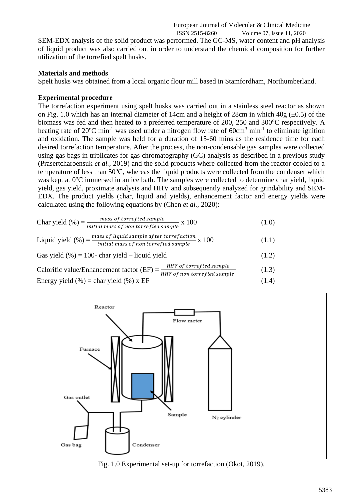ISSN 2515-8260 Volume 07, Issue 11, 2020 SEM-EDX analysis of the solid product was performed. The GC-MS, water content and pH analysis of liquid product was also carried out in order to understand the chemical composition for further utilization of the torrefied spelt husks.

European Journal of Molecular & Clinical Medicine

## **Materials and methods**

Spelt husks was obtained from a local organic flour mill based in Stamfordham, Northumberland.

## **Experimental procedure**

The torrefaction experiment using spelt husks was carried out in a stainless steel reactor as shown on Fig. 1.0 which has an internal diameter of 14cm and a height of 28cm in which  $40g \ (\pm 0.5)$  of the biomass was fed and then heated to a preferred temperature of 200, 250 and 300 $^{\circ}$ C respectively. A heating rate of  $20^{\circ}$ C min<sup>-1</sup> was used under a nitrogen flow rate of  $60 \text{cm}^3$  min<sup>-1</sup> to eliminate ignition and oxidation. The sample was held for a duration of 15-60 mins as the residence time for each desired torrefaction temperature. After the process, the non-condensable gas samples were collected using gas bags in triplicates for gas chromatography (GC) analysis as described in a previous study (Prasertcharoensuk *et al.*, 2019) and the solid products where collected from the reactor cooled to a temperature of less than  $50^{\circ}$ C, whereas the liquid products were collected from the condenser which was kept at  $0^{\circ}$ C immersed in an ice bath. The samples were collected to determine char yield, liquid yield, gas yield, proximate analysis and HHV and subsequently analyzed for grindability and SEM-EDX. The product yields (char, liquid and yields), enhancement factor and energy yields were calculated using the following equations by (Chen *et al.*, 2020):

$$
Char yield (%) = \frac{mass of torrefied sample}{initial mass of non torrefied sample} \times 100
$$
 (1.0)

$$
Liquid yield (%) = \frac{mass \ of \ liquid \ sample \ after \ to \ reflection}{initial \ mass \ of \ non \ torrefied \ sample} \ x \ 100 \tag{1.1}
$$

Gas yield  $(\% ) = 100$ - char yield – liquid yield (1.2) Calorific value/Enhancement factor  $(EF) = \frac{HHV \text{ of to} rrefied sample}{HHV \text{ of non to} rrefied sample}$ (1.3)

Energy yield  $(\% )$  = char yield  $(\% )$  x EF (1.4)



Fig. 1.0 Experimental set-up for torrefaction (Okot, 2019).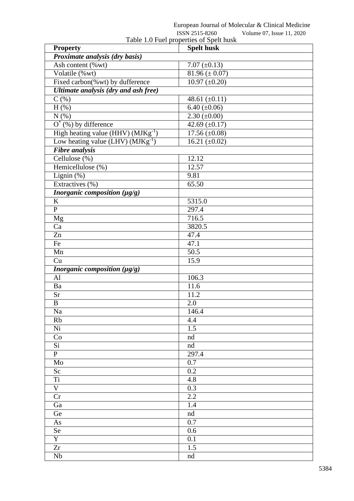|                | European Journal of Molecular & Clinical Medicine |
|----------------|---------------------------------------------------|
| ISSN 2515-8260 | Volume 07 Issue 11 2020                           |

|                                                | <b>POPLA 7717-0700</b><br>v Olumic $07$ , issue 11, $2020$<br>Table 1.0 Fuel properties of Spelt husk |
|------------------------------------------------|-------------------------------------------------------------------------------------------------------|
| <b>Property</b>                                | <b>Spelt husk</b>                                                                                     |
| Proximate analysis (dry basis)                 |                                                                                                       |
| Ash content (%wt)                              | 7.07 $(\pm 0.13)$                                                                                     |
| Volatile (%wt)                                 | $\overline{81.96}$ (± 0.07)                                                                           |
| Fixed carbon(%wt) by dufference                | $10.97 \ (\pm 0.20)$                                                                                  |
| Ultimate analysis (dry and ash free)           |                                                                                                       |
| $C($ %)                                        | 48.61 $(\pm 0.11)$                                                                                    |
| $H$ $(\%)$                                     | $6.40 (\pm 0.06)$                                                                                     |
| N(%)                                           | $2.30 \ (\pm 0.00)$                                                                                   |
| $O^*(\%)$ by difference                        | $42.69 \left( \pm 0.17 \right)$                                                                       |
| High heating value (HHV) (MJKg <sup>-1</sup> ) | $17.56 \, (\pm 0.08)$                                                                                 |
| Low heating value (LHV) $(MJKg^{-1})$          | 16.21 $(\pm 0.02)$                                                                                    |
| <b>Fibre analysis</b>                          |                                                                                                       |
| Cellulose (%)                                  | 12.12                                                                                                 |
| Hemicellulose (%)                              | 12.57                                                                                                 |
| Lignin (%)                                     | 9.81                                                                                                  |
| Extractives (%)                                | 65.50                                                                                                 |
| <i>Inorganic composition</i> $(\mu g/g)$       |                                                                                                       |
| K                                              | 5315.0                                                                                                |
| $\mathbf P$                                    | 297.4                                                                                                 |
| Mg                                             | 716.5                                                                                                 |
| Ca                                             | 3820.5                                                                                                |
| Zn                                             | 47.4                                                                                                  |
| Fe                                             | 47.1                                                                                                  |
| Mn                                             | 50.5                                                                                                  |
| Cu                                             | 15.9                                                                                                  |
| Inorganic composition (µg/g)                   |                                                                                                       |
| AI                                             | 106.3                                                                                                 |
| Ba                                             | 11.6                                                                                                  |
| Sr                                             | 11.2                                                                                                  |
| B                                              | 2.0                                                                                                   |
| Na                                             | 146.4                                                                                                 |
| Rb                                             | 4.4                                                                                                   |
| Ni                                             | 1.5                                                                                                   |
| Co                                             | nd                                                                                                    |
| $\overline{Si}$                                | nd                                                                                                    |
| $\overline{P}$                                 | 297.4                                                                                                 |
| Mo                                             | 0.7                                                                                                   |
| Sc                                             | 0.2                                                                                                   |
| <b>Ti</b>                                      | 4.8                                                                                                   |
| $\mathbf V$                                    | 0.3                                                                                                   |
| Cr                                             | 2.2                                                                                                   |
| Ga                                             | 1.4                                                                                                   |
| Ge                                             | nd                                                                                                    |
| As                                             | 0.7                                                                                                   |
| Se                                             | 0.6                                                                                                   |
| $\overline{Y}$                                 | 0.1                                                                                                   |
| Zr                                             | 1.5                                                                                                   |
| Nb                                             | nd                                                                                                    |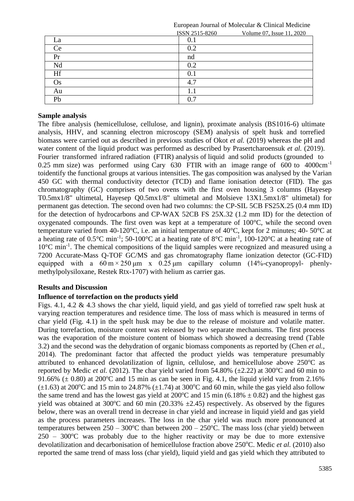|     | ISSN 2515-8260 | Volume 07, Issue 11, 2020 |
|-----|----------------|---------------------------|
| La  | 0.1            |                           |
| Ce  | 0.2            |                           |
| Pr  | nd             |                           |
| Nd  | 0.2            |                           |
| Hf  | $0.1\,$        |                           |
| Os. | 4.7            |                           |
| Au  |                |                           |
| Pb  | 0.             |                           |

European Journal of Molecular & Clinical Medicine

## **Sample analysis**

The fibre analysis (hemicellulose, cellulose, and lignin), proximate analysis (BS1016-6) ultimate analysis, HHV, and scanning electron microscopy (SEM) analysis of spelt husk and torrefied biomass were carried out as described in previous studies of Okot *et al.* (2019) whereas the pH and water content of the liquid product was performed as described by Prasertcharoensuk *et al.* (2019). Fourier transformed infrared radiation (FTIR) analysis of liquid and solid products (grounded to 0.25 mm size) was performed using Cary  $630$  FTIR with an image range of  $600$  to  $4000 \text{cm}^{-1}$ toidentify the functional groups at various intensities. The gas composition was analysed by the Varian 450 GC with thermal conductivity detector (TCD) and flame ionisation detector (FID). The gas chromatography (GC) comprises of two ovens with the first oven housing 3 columns (Hayesep T0.5mx1/8" ultimetal, Hayesep Q0.5mx1/8" ultimetal and Molsieve 13X1.5mx1/8" ultimetal) for permanent gas detection. The second oven had two columns: the CP-SIL 5CB FS25X.25 (0.4 mm ID) for the detection of hydrocarbons and CP-WAX 52CB FS 25X.32 (1.2 mm ID) for the detection of oxygenated compounds. The first oven was kept at a temperature of 100°C, while the second oven temperature varied from 40-120°C, i.e. an initial temperature of 40°C, kept for 2 minutes; 40- 50°C at a heating rate of  $0.5^{\circ}$ C min<sup>-1</sup>; 50-100°C at a heating rate of 8°C min<sup>-1</sup>, 100-120°C at a heating rate of 10°C min<sup>-1</sup>. The chemical compositions of the liquid samples were recognized and measured using a 7200 Accurate-Mass Q-TOF GC/MS and gas chromatography flame ionization detector (GC-FID) equipped with a  $60 \text{ m} \times 250 \text{ }\mu\text{m}$  x  $0.25 \text{ }\mu\text{m}$  capillary column  $(14\%$ -cyanopropyl- phenlymethylpolysiloxane, Restek Rtx-1707) with helium as carrier gas.

#### **Results and Discussion**

## **Influence of torrefaction on the products yield**

Figs. 4.1, 4.2 & 4.3 shows the char yield, liquid yield, and gas yield of torrefied raw spelt husk at varying reaction temperatures and residence time. The loss of mass which is measured in terms of char yield (Fig. 4.1) in the spelt husk may be due to the release of moisture and volatile matter. During torrefaction, moisture content was released by two separate mechanisms. The first process was the evaporation of the moisture content of biomass which showed a decreasing trend (Table 3.2) and the second was the dehydration of organic biomass components as reported by (Chen *et al.*, 2014). The predominant factor that affected the product yields was temperature presumably attributed to enhanced devolatilization of lignin, cellulose, and hemicellulose above  $250^{\circ}$ C as reported by Medic *et al.* (2012). The char yield varied from 54.80% ( $\pm$ 2.22) at 300°C and 60 min to 91.66% ( $\pm$  0.80) at 200°C and 15 min as can be seen in Fig. 4.1, the liquid yield vary from 2.16%  $(\pm 1.63)$  at 200°C and 15 min to 24.87% ( $\pm 1.74$ ) at 300°C and 60 min, while the gas yield also follow the same trend and has the lowest gas yield at  $200^{\circ}$ C and 15 min (6.18%  $\pm$  0.82) and the highest gas yield was obtained at 300 °C and 60 min (20.33%  $\pm$ 2.45) respectively. As observed by the figures below, there was an overall trend in decrease in char yield and increase in liquid yield and gas yield as the process parameters increases. The loss in the char yield was much more pronounced at temperatures between  $250 - 300^{\circ}\text{C}$  than between  $200 - 250^{\circ}\text{C}$ . The mass loss (char yield) between  $250 - 300^{\circ}$ C was probably due to the higher reactivity or may be due to more extensive devolatilization and decarbonisation of hemicellulose fraction above 250°C. Medic et al. (2010) also reported the same trend of mass loss (char yield), liquid yield and gas yield which they attributed to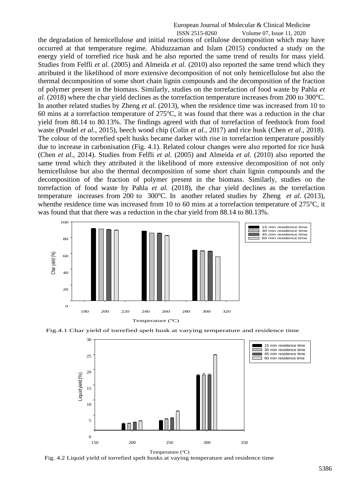# European Journal of Molecular & Clinical Medicine

ISSN 2515-8260 Volume 07, Issue 11, 2020 the degradation of hemicellulose and initial reactions of cellulose decomposition which may have occurred at that temperature regime. Ahiduzzaman and Islam (2015) conducted a study on the energy yield of torrefied rice husk and he also reported the same trend of results for mass yield. Studies from Felfli *et al.* (2005) and Almeida *et al.* (2010) also reported the same trend which they attributed it the likelihood of more extensive decomposition of not only hemicellulose but also the thermal decomposition of some short chain lignin compounds and the decomposition of the fraction of polymer present in the biomass. Similarly, studies on the torrefaction of food waste by Pahla *et al.* (2018) where the char yield declines as the torrefaction temperature increases from 200 to 300 °C. In another related studies by Zheng *et al.* (2013), when the residence time was increased from 10 to 60 mins at a torrefaction temperature of  $275^{\circ}$ C, it was found that there was a reduction in the char yield from 88.14 to 80.13%. The findings agreed with that of torrefaction of feedstock from food waste (Poudel *et al.*, 2015), beech wood chip (Colin *et al.*, 2017) and rice husk (Chen *et al.*, 2018). The colour of the torrefied spelt husks became darker with rise in torrefaction temperature possibly due to increase in carbonisation (Fig. 4.1). Related colour changes were also reported for rice husk (Chen *et al.*, 2014). Studies from Felfli *et al.* (2005) and Almeida *et al.* (2010) also reported the same trend which they attributed it the likelihood of more extensive decomposition of not only hemicellulose but also the thermal decomposition of some short chain lignin compounds and the decomposition of the fraction of polymer present in the biomass. Similarly, studies on the torrefaction of food waste by Pahla *et al.* (2018), the char yield declines as the torrefaction temperature increases from 200 to 300°C. In another related studies by Zheng *et al.* (2013), when the residence time was increased from 10 to 60 mins at a torrefaction temperature of  $275^{\circ}$ C, it was found that that there was a reduction in the char yield from 88.14 to 80.13%.



Fig.4.1 Char yield of torrefied spelt husk at varying temperature and residence time



Temperature  $(^{\circ}C)$ 

Fig. 4.2 Liquid yield of torrefied spelt husks at vaying temperature and residence time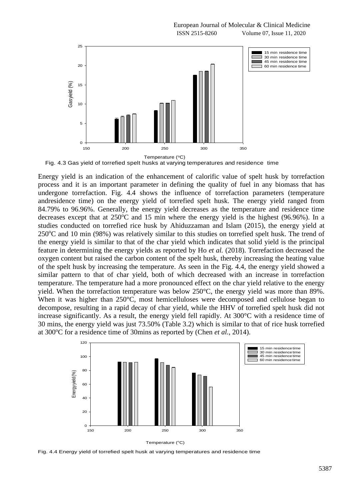European Journal of Molecular & Clinical Medicine ISSN 2515-8260 Volume 07, Issue 11, 2020



Fig. 4.3 Gas yield of torrefied spelt husks at varying temperatures and residence time

Energy yield is an indication of the enhancement of calorific value of spelt husk by torrefaction process and it is an important parameter in defining the quality of fuel in any biomass that has undergone torrefaction. Fig. 4.4 shows the influence of torrefaction parameters (temperature andresidence time) on the energy yield of torrefied spelt husk. The energy yield ranged from 84.79% to 96.96%. Generally, the energy yield decreases as the temperature and residence time decreases except that at  $250^{\circ}$ C and 15 min where the energy yield is the highest (96.96%). In a studies conducted on torrefied rice husk by Ahiduzzaman and Islam (2015), the energy yield at  $250^{\circ}$ C and 10 min (98%) was relatively similar to this studies on torrefied spelt husk. The trend of the energy yield is similar to that of the char yield which indicates that solid yield is the principal feature in determining the energy yields as reported by Ho *et al.* (2018). Torrefaction decreased the oxygen content but raised the carbon content of the spelt husk, thereby increasing the heating value of the spelt husk by increasing the temperature. As seen in the Fig. 4.4, the energy yield showed a similar pattern to that of char yield, both of which decreased with an increase in torrefaction temperature. The temperature had a more pronounced effect on the char yield relative to the energy yield. When the torrefaction temperature was below 250°C, the energy yield was more than 89%. When it was higher than 250°C, most hemicelluloses were decomposed and cellulose began to decompose, resulting in a rapid decay of char yield, while the HHV of torrefied spelt husk did not increase significantly. As a result, the energy yield fell rapidly. At 300°C with a residence time of 30 mins, the energy yield was just 73.50% (Table 3.2) which is similar to that of rice husk torrefied at 300<sup>o</sup>C for a residence time of 30mins as reported by (Chen *et al.*, 2014).



Temperature (°C)

Fig. 4.4 Energy yield of torrefied spelt husk at varying temperatures and residence time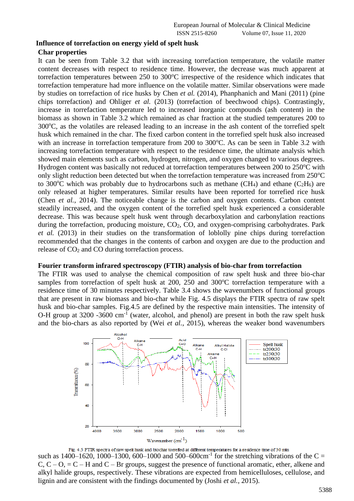### **Influence of torrefaction on energy yield of spelt husk**

### **Char properties**

It can be seen from Table 3.2 that with increasing torrefaction temperature, the volatile matter content decreases with respect to residence time. However, the decrease was much apparent at torrefaction temperatures between  $250$  to  $300^{\circ}$ C irrespective of the residence which indicates that torrefaction temperature had more influence on the volatile matter. Similar observations were made by studies on torrefaction of rice husks by Chen *et al.* (2014), Phanphanich and Mani (2011) (pine chips torrefaction) and Ohliger *et al.* (2013) (torrefaction of beechwood chips). Contrastingly, increase in torrefaction temperature led to increased inorganic compounds (ash content) in the biomass as shown in Table 3.2 which remained as char fraction at the studied temperatures 200 to  $300^{\circ}$ C, as the volatiles are released leading to an increase in the ash content of the torrefied spelt husk which remained in the char. The fixed carbon content in the torrefied spelt husk also increased with an increase in torrefaction temperature from 200 to 300°C. As can be seen in Table 3.2 with increasing torrefaction temperature with respect to the residence time, the ultimate analysis which showed main elements such as carbon, hydrogen, nitrogen, and oxygen changed to various degrees. Hydrogen content was basically not reduced at torrefaction temperatures between 200 to 250°C with only slight reduction been detected but when the torrefaction temperature was increased from  $250^{\circ}$ C to 300<sup>o</sup>C which was probably due to hydrocarbons such as methane (CH<sub>4</sub>) and ethane (C<sub>2</sub>H<sub>6</sub>) are only released at higher temperatures. Similar results have been reported for torrefied rice husk (Chen *et al.*, 2014). The noticeable change is the carbon and oxygen contents. Carbon content steadily increased, and the oxygen content of the torrefied spelt husk experienced a considerable decrease. This was because spelt husk went through decarboxylation and carbonylation reactions during the torrefaction, producing moisture, CO<sub>2</sub>, CO, and oxygen-comprising carbohydrates. Park *et al.* (2013) in their studies on the transformation of loblolly pine chips during torrefaction recommended that the changes in the contents of carbon and oxygen are due to the production and release of  $CO<sub>2</sub>$  and  $CO$  during torrefaction process.

#### **Fourier transform infrared spectroscopy (FTIR) analysis of bio-char from torrefaction**

The FTIR was used to analyse the chemical composition of raw spelt husk and three bio-char samples from torrefaction of spelt husk at 200, 250 and 300 $^{\circ}$ C torrefaction temperature with a residence time of 30 minutes respectively. Table 3.4 shows the wavenumbers of functional groups that are present in raw biomass and bio-char while Fig. 4.5 displays the FTIR spectra of raw spelt husk and bio-char samples. Fig.4.5 are defined by the respective main intensities. The intensity of O-H group at 3200 -3600 cm<sup>-1</sup> (water, alcohol, and phenol) are present in both the raw spelt husk and the bio-chars as also reported by (Wei *et al.*, 2015), whereas the weaker bond wavenumbers



such as  $1400-1620$ ,  $1000-1300$ ,  $600-1000$  and  $500-600$ cm<sup>-1</sup> for the stretching vibrations of the C =  $C, C - O$ , =  $C - H$  and  $C - Br$  groups, suggest the presence of functional aromatic, ether, alkene and alkyl halide groups, respectively. These vibrations are expected from hemicelluloses, cellulose, and lignin and are consistent with the findings documented by (Joshi *et al.*, 2015).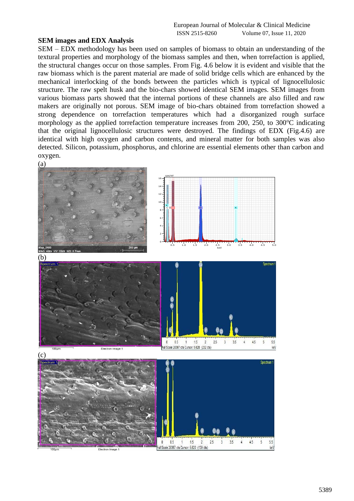#### **SEM images and EDX Analysis**

SEM – EDX methodology has been used on samples of biomass to obtain an understanding of the textural properties and morphology of the biomass samples and then, when torrefaction is applied, the structural changes occur on those samples. From Fig. 4.6 below it is evident and visible that the raw biomass which is the parent material are made of solid bridge cells which are enhanced by the mechanical interlocking of the bonds between the particles which is typical of lignocellulosic structure. The raw spelt husk and the bio-chars showed identical SEM images. SEM images from various biomass parts showed that the internal portions of these channels are also filled and raw makers are originally not porous. SEM image of bio-chars obtained from torrefaction showed a strong dependence on torrefaction temperatures which had a disorganized rough surface morphology as the applied torrefaction temperature increases from 200, 250, to  $300^{\circ}$ C indicating that the original lignocellulosic structures were destroyed. The findings of EDX (Fig.4.6) are identical with high oxygen and carbon contents, and mineral matter for both samples was also detected. Silicon, potassium, phosphorus, and chlorine are essential elements other than carbon and oxygen.

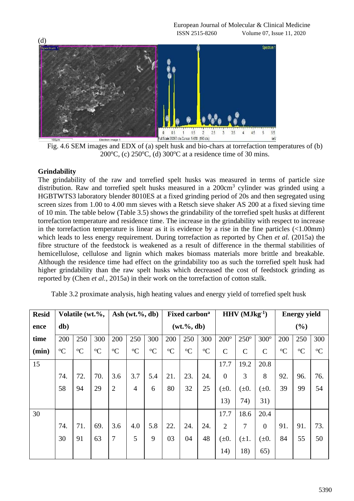

Fig. 4.6 SEM images and EDX of (a) spelt husk and bio-chars at torrefaction temperatures of (b) 200 $\degree$ C, (c) 250 $\degree$ C, (d) 300 $\degree$ C at a residence time of 30 mins.

## **Grindability**

The grindability of the raw and torrefied spelt husks was measured in terms of particle size distribution. Raw and torrefied spelt husks measured in a 200cm<sup>3</sup> cylinder was grinded using a HGBTWTS3 laboratory blender 8010ES at a fixed grinding period of 20s and then segregated using screen sizes from 1.00 to 4.00 mm sieves with a Retsch sieve shaker AS 200 at a fixed sieving time of 10 min. The table below (Table 3.5) shows the grindability of the torrefied spelt husks at different torrefaction temperature and residence time. The increase in the grindability with respect to increase in the torrefaction temperature is linear as it is evidence by a rise in the fine particles  $\langle$  (<1.00mm) which leads to less energy requirement. During torrefaction as reported by Chen *et al.* (2015a) the fibre structure of the feedstock is weakened as a result of difference in the thermal stabilities of hemicellulose, cellulose and lignin which makes biomass materials more brittle and breakable. Although the residence time had effect on the grindability too as such the torrefied spelt husk had higher grindability than the raw spelt husks which decreased the cost of feedstock grinding as reported by (Chen *et al.*, 2015a) in their work on the torrefaction of cotton stalk.

Table 3.2 proximate analysis, high heating values and energy yield of torrefied spelt husk

| <b>Resid</b> | Volatile (wt.%, |               |             |                | Ash $(wt, %, db)$ |               | $HHV$ (MJkg <sup>-1</sup> )<br>Fixed carbon <sup>a</sup> |               |               |                |               | <b>Energy yield</b> |               |               |               |
|--------------|-----------------|---------------|-------------|----------------|-------------------|---------------|----------------------------------------------------------|---------------|---------------|----------------|---------------|---------------------|---------------|---------------|---------------|
| ence         | db)             |               |             |                |                   |               | $(wt.^{\%}, db)$                                         |               |               |                |               |                     | $(\%)$        |               |               |
| time         | 200             | 250           | 300         | 200            | 250               | 300           | 200                                                      | 250           | 300           | $200^\circ$    | $250^\circ$   | $300^\circ$         | 200           | 250           | 300           |
| (min)        | ${}^{\circ}C$   | ${}^{\circ}C$ | $\rm ^{o}C$ | ${}^{\circ}C$  | ${}^{\circ}C$     | ${}^{\circ}C$ | ${}^{\circ}C$                                            | ${}^{\circ}C$ | ${}^{\circ}C$ | $\mathcal{C}$  | $\mathcal{C}$ | $\mathbf C$         | ${}^{\circ}C$ | ${}^{\circ}C$ | ${}^{\circ}C$ |
| 15           |                 |               |             |                |                   |               |                                                          |               |               | 17.7           | 19.2          | 20.8                |               |               |               |
|              | 74.             | 72.           | 70.         | 3.6            | 3.7               | 5.4           | 21.                                                      | 23.           | 24.           | $\overline{0}$ | 3             | 8                   | 92.           | 96.           | 76.           |
|              | 58              | 94            | 29          | $\overline{2}$ | $\overline{4}$    | 6             | 80                                                       | 32            | 25            | $(\pm 0.$      | $\pm 0.$      | $(\pm 0.$           | 39            | 99            | 54            |
|              |                 |               |             |                |                   |               |                                                          |               |               | 13)            | 74)           | 31)                 |               |               |               |
| 30           |                 |               |             |                |                   |               |                                                          |               |               | 17.7           | 18.6          | 20.4                |               |               |               |
|              | 74.             | 71.           | 69.         | 3.6            | 4.0               | 5.8           | 22.                                                      | 24.           | 24.           | $\overline{2}$ | 7             | $\theta$            | 91.           | 91.           | 73.           |
|              | 30              | 91            | 63          | $\overline{7}$ | 5                 | 9             | 03                                                       | 04            | 48            | $(\pm 0.$      | $(\pm 1.$     | $(\pm 0.$           | 84            | 55            | 50            |
|              |                 |               |             |                |                   |               |                                                          |               |               | 14)            | 18)           | 65)                 |               |               |               |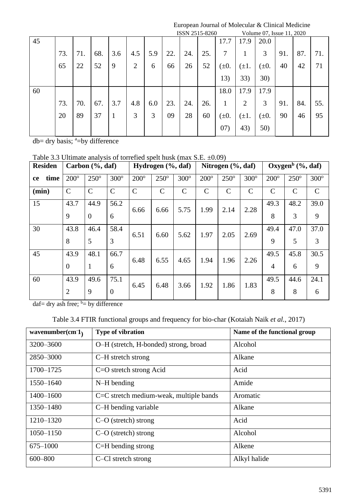European Journal of Molecular & Clinical Medicine

|    |     |     |     |     |                |     |     |     | ISSN 2515-8260 |           |                | Volume 07, Issue 11, 2020 |     |     |     |
|----|-----|-----|-----|-----|----------------|-----|-----|-----|----------------|-----------|----------------|---------------------------|-----|-----|-----|
| 45 |     |     |     |     |                |     |     |     |                | 17.7      | 17.9           | 20.0                      |     |     |     |
|    | 73. | 71. | 68. | 3.6 | 4.5            | 5.9 | 22. | 24. | 25.            | 7         | 1              | 3                         | 91. | 87. | 71. |
|    | 65  | 22  | 52  | 9   | $\overline{2}$ | 6   | 66  | 26  | 52             | $(\pm 0.$ | $(\pm 1.$      | $(\pm 0.$                 | 40  | 42  | 71  |
|    |     |     |     |     |                |     |     |     |                | 13)       | 33)            | 30)                       |     |     |     |
| 60 |     |     |     |     |                |     |     |     |                | 18.0      | 17.9           | 17.9                      |     |     |     |
|    | 73. | 70. | 67. | 3.7 | 4.8            | 6.0 | 23. | 24. | 26.            | 1         | $\overline{2}$ | 3                         | 91. | 84. | 55. |
|    | 20  | 89  | 37  | 1   | 3              | 3   | 09  | 28  | 60             | $(\pm 0.$ | $(\pm 1.$      | $(\pm 0.$                 | 90  | 46  | 95  |
|    |     |     |     |     |                |     |     |     |                | (07)      | 43)            | 50)                       |     |     |     |

 $db = dry$  basis;  $a = by$  difference

|                   | I able 5.5 UIIIIIale analysis of fortefled spell husk (filax $S.E. \pm 0.091$ ) |                     |               |               |                       |               |               |                       |               |                |                                  |               |
|-------------------|---------------------------------------------------------------------------------|---------------------|---------------|---------------|-----------------------|---------------|---------------|-----------------------|---------------|----------------|----------------------------------|---------------|
| <b>Residen</b>    |                                                                                 | Carbon $(\%$ , daf) |               |               | Hydrogen $(\%$ , daf) |               |               | Nitrogen $(\%$ , daf) |               |                | Oxygen <sup>b</sup> $(\%$ , daf) |               |
| time<br><b>ce</b> | $200^\circ$                                                                     | $250^\circ$         | $300^\circ$   | $200^\circ$   | $250^\circ$           | $300^\circ$   | $200^\circ$   | $250^\circ$           | $300^\circ$   | $200^\circ$    | $250^\circ$                      | $300^\circ$   |
| (min)             | $\mathcal{C}$                                                                   | $\mathcal{C}$       | $\mathcal{C}$ | $\mathcal{C}$ | $\mathsf{C}$          | $\mathcal{C}$ | $\mathcal{C}$ | $\mathcal{C}$         | $\mathcal{C}$ | $\mathcal{C}$  | $\mathcal{C}$                    | $\mathcal{C}$ |
| 15                | 43.7                                                                            | 44.9                | 56.2          | 6.66          | 6.66                  | 5.75          | 1.99          | 2.14                  | 2.28          | 49.3           | 48.2                             | 39.0          |
|                   | 9                                                                               | $\overline{0}$      | 6             |               |                       |               |               |                       |               | 8              | 3                                | 9             |
| 30                | 43.8                                                                            | 46.4                | 58.4          | 6.51          | 6.60                  | 5.62          | 1.97          | 2.05                  | 2.69          | 49.4           | 47.0                             | 37.0          |
|                   | 8                                                                               | 5                   | 3             |               |                       |               |               |                       |               | 9              | 5                                | 3             |
| 45                | 43.9                                                                            | 48.1                | 66.7          | 6.48          | 6.55                  | 4.65          | 1.94          | 1.96                  | 2.26          | 49.5           | 45.8                             | 30.5          |
|                   | $\overline{0}$                                                                  | 1                   | 6             |               |                       |               |               |                       |               | $\overline{4}$ | 6                                | 9             |
| 60                | 43.9                                                                            | 49.6                | 75.1          | 6.45          | 6.48                  | 3.66          | 1.92          | 1.86                  | 1.83          | 49.5           | 44.6                             | 24.1          |
|                   | 2                                                                               | 9                   | $\theta$      |               |                       |               |               |                       |               | 8              | 8                                | 6             |

Table 3.3 Ultimate analysis of torrefied spelt husk (max  $S.E. +0.09$ )

 $\text{daf} = \text{dry ash free};$   $\overset{b}{=}$  by difference

| Table 3.4 FTIR functional groups and frequency for bio-char (Kotaiah Naik et al., 2017) |  |  |  |  |
|-----------------------------------------------------------------------------------------|--|--|--|--|
|                                                                                         |  |  |  |  |

| wavenumber(cm $1$ ) | Type of vibration                       | Name of the functional group |
|---------------------|-----------------------------------------|------------------------------|
| 3200-3600           | O-H (stretch, H-bonded) strong, broad   | Alcohol                      |
| 2850-3000           | C-H stretch strong                      | Alkane                       |
| 1700-1725           | $C=O$ stretch strong Acid               | Acid                         |
| 1550-1640           | $N-H$ bending                           | Amide                        |
| 1400-1600           | C=C stretch medium-weak, multiple bands | Aromatic                     |
| 1350-1480           | C-H bending variable                    | Alkane                       |
| 1210-1320           | $C-O$ (stretch) strong                  | Acid                         |
| $1050 - 1150$       | $C-O$ (stretch) strong                  | Alcohol                      |
| 675-1000            | $C=H$ bending strong                    | Alkene                       |
| 600-800             | C-Cl stretch strong                     | Alkyl halide                 |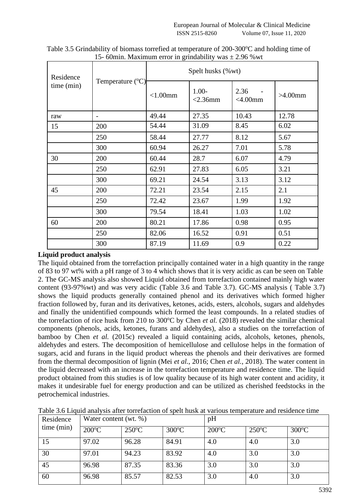| Residence  |                           | Spelt husks (%wt) |                        |                       |            |  |  |  |  |  |
|------------|---------------------------|-------------------|------------------------|-----------------------|------------|--|--|--|--|--|
| time (min) | Temperature $(^{\circ}C)$ | $< 1.00$ mm       | $1.00 -$<br>$<$ 2.36mm | 2.36<br>$<$ 4.00 $mm$ | $>4.00$ mm |  |  |  |  |  |
| raw        |                           | 49.44             | 27.35                  | 10.43                 | 12.78      |  |  |  |  |  |
| 15         | 200                       | 54.44             | 31.09                  | 8.45                  | 6.02       |  |  |  |  |  |
|            | 250                       | 58.44             | 27.77                  | 8.12                  | 5.67       |  |  |  |  |  |
|            | 300                       | 60.94             | 26.27                  | 7.01                  | 5.78       |  |  |  |  |  |
| 30         | 200                       | 60.44             | 28.7                   | 6.07                  | 4.79       |  |  |  |  |  |
|            | 250                       | 62.91             | 27.83                  | 6.05                  | 3.21       |  |  |  |  |  |
|            | 300                       | 69.21             | 24.54                  | 3.13                  | 3.12       |  |  |  |  |  |
| 45         | 200                       | 72.21             | 23.54                  | 2.15                  | 2.1        |  |  |  |  |  |
|            | 250                       | 72.42             | 23.67                  | 1.99                  | 1.92       |  |  |  |  |  |
|            | 300                       | 79.54             | 18.41                  | 1.03                  | 1.02       |  |  |  |  |  |
| 60         | 200                       | 80.21             | 17.86                  | 0.98                  | 0.95       |  |  |  |  |  |
|            | 250                       | 82.06             | 16.52                  | 0.91                  | 0.51       |  |  |  |  |  |
|            | 300                       | 87.19             | 11.69                  | 0.9                   | 0.22       |  |  |  |  |  |

Table 3.5 Grindability of biomass torrefied at temperature of  $200-300^{\circ}$ C and holding time of 15- 60min. Maximum error in grindability was  $\pm$  2.96 % wt

## **Liquid product analysis**

The liquid obtained from the torrefaction principally contained water in a high quantity in the range of 83 to 97 wt% with a pH range of 3 to 4 which shows that it is very acidic as can be seen on Table 2. The GC-MS analysis also showed Liquid obtained from torrefaction contained mainly high water content (93-97%wt) and was very acidic (Table 3.6 and Table 3.7). GC-MS analysis ( Table 3.7) shows the liquid products generally contained phenol and its derivatives which formed higher fraction followed by, furan and its derivatives, ketones, acids, esters, alcohols, sugars and aldehydes and finally the unidentified compounds which formed the least compounds. In a related studies of the torrefaction of rice husk from 210 to 300°C by Chen *et al.* (2018) revealed the similar chemical components (phenols, acids, ketones, furans and aldehydes), also a studies on the torrefaction of bamboo by Chen *et al.* (2015c) revealed a liquid containing acids, alcohols, ketones, phenols, aldehydes and esters. The decomposition of hemicellulose and cellulose helps in the formation of sugars, acid and furans in the liquid product whereas the phenols and their derivatives are formed from the thermal decomposition of lignin (Mei *et al.*, 2016; Chen *et al.*, 2018). The water content in the liquid decreased with an increase in the torrefaction temperature and residence time. The liquid product obtained from this studies is of low quality because of its high water content and acidity, it makes it undesirable fuel for energy production and can be utilized as cherished feedstocks in the petrochemical industries.

| Residence  | Water content (wt. %) |                 |                 | pH              |                 |                 |  |  |  |
|------------|-----------------------|-----------------|-----------------|-----------------|-----------------|-----------------|--|--|--|
| time (min) | $200^{\circ}$ C       | $250^{\circ}$ C | $300^{\circ}$ C | $200^{\circ}$ C | $250^{\circ}$ C | $300^{\circ}$ C |  |  |  |
| 15         | 97.02                 | 96.28           | 84.91           | 4.0             | 4.0             | 3.0             |  |  |  |
| 30         | 97.01                 | 94.23           | 83.92           | 4.0             | 3.0             | 3.0             |  |  |  |
| 45         | 96.98                 | 87.35           | 83.36           | 3.0             | 3.0             | 3.0             |  |  |  |
| 60         | 96.98                 | 85.57           | 82.53           | 3.0             | 4.0             | 3.0             |  |  |  |

Table 3.6 Liquid analysis after torrefaction of spelt husk at various temperature and residence time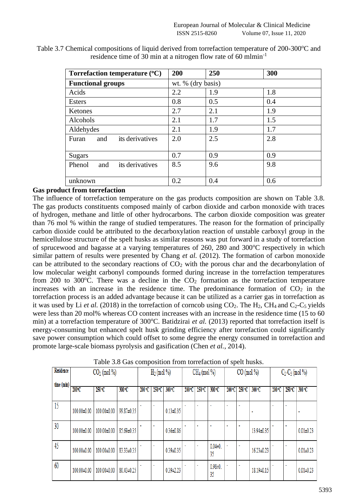| Torrefaction temperature $({}^{\circ}C)$ | 200 | 250               | 300 |  |  |  |  |  |
|------------------------------------------|-----|-------------------|-----|--|--|--|--|--|
| <b>Functional groups</b>                 |     | wt. % (dry basis) |     |  |  |  |  |  |
| Acids                                    | 2.2 | 1.9               | 1.8 |  |  |  |  |  |
| Esters                                   | 0.8 | 0.5               | 0.4 |  |  |  |  |  |
| Ketones                                  | 2.7 | 2.1               | 1.9 |  |  |  |  |  |
| Alcohols                                 | 2.1 | 1.7               | 1.5 |  |  |  |  |  |
| Aldehydes                                | 2.1 | 1.9               | 1.7 |  |  |  |  |  |
| its derivatives<br>Furan<br>and          | 2.0 | 2.5               | 2.8 |  |  |  |  |  |
| <b>Sugars</b>                            | 0.7 | 0.9               | 0.9 |  |  |  |  |  |
| its derivatives<br>Phenol<br>and         | 8.5 | 9.6               | 9.8 |  |  |  |  |  |
| unknown                                  | 0.2 | 0.4               | 0.6 |  |  |  |  |  |

Table 3.7 Chemical compositions of liquid derived from torrefaction temperature of 200-300°C and residence time of 30 min at a nitrogen flow rate of 60 mlmin-1

## **Gas product from torrefaction**

The influence of torrefaction temperature on the gas products composition are shown on Table 3.8. The gas products constituents composed mainly of carbon dioxide and carbon monoxide with traces of hydrogen, methane and little of other hydrocarbons. The carbon dioxide composition was greater than 76 mol % within the range of studied temperatures. The reason for the formation of principally carbon dioxide could be attributed to the decarboxylation reaction of unstable carboxyl group in the hemicellulose structure of the spelt husks as similar reasons was put forward in a study of torrefaction of sprucewood and bagasse at a varying temperatures of  $260$ ,  $280$  and  $300^{\circ}$ C respectively in which similar pattern of results were presented by Chang *et al.* (2012). The formation of carbon monoxide can be attributed to the secondary reactions of  $CO<sub>2</sub>$  with the porous char and the decarbonylation of low molecular weight carbonyl compounds formed during increase in the torrefaction temperatures from 200 to 300°C. There was a decline in the  $CO<sub>2</sub>$  formation as the torrefaction temperature increases with an increase in the residence time. The predominance formation of  $CO<sub>2</sub>$  in the torrefaction process is an added advantage because it can be utilized as a carrier gas in torrefaction as it was used by Li *et al.* (2018) in the torrefaction of corncob using  $CO<sub>2</sub>$ . The H<sub>2</sub>, CH<sub>4</sub> and  $C<sub>2</sub>-C<sub>5</sub>$  yields were less than 20 mol% whereas CO content increases with an increase in the residence time (15 to 60 min) at a torrefaction temperature of 300°C. Batidzirai *et al.* (2013) reported that torrefaction itself is energy-consuming but enhanced spelt husk grinding efficiency after torrefaction could significantly save power consumption which could offset to some degree the energy consumed in torrefaction and promote large-scale biomass pyrolysis and gasification (Chen *et al.*, 2014).

| Residence  | $CO2$ (mol %) |                 |            | $H_2$ (mol %)   |                 |                 | $CH_4$ (mol %) |                 | $CO \pmod{%}$     |                |                 | $C_2-C_5 \pmod{96}$ |        |                 |                 |
|------------|---------------|-----------------|------------|-----------------|-----------------|-----------------|----------------|-----------------|-------------------|----------------|-----------------|---------------------|--------|-----------------|-----------------|
| time (min) | 200°C         | $250^{\circ}$ C | 300 °C     | $200^{\circ}$ C | $250^{\circ}$ C | 300 °C          | 200 °C         | $250^{\circ}$ C | $300^{\circ}$ C   | 200 °C I       | $250^{\circ}$ C | 300 °C              | 200 °C | $250^{\circ}$ C | 300 °C          |
| 15         | 100.00±0.00   | 100.00±0.00     | 99.87±0.35 |                 |                 | $0.13 \pm 0.35$ |                |                 |                   |                |                 |                     |        |                 |                 |
| 30         | 100.00±0.00   | 100.00±0.00     | 85.69±0.35 |                 |                 | $0.36 + 0.86$   |                |                 |                   |                |                 | 13.94±0.35          |        |                 | $0.01 \pm 0.23$ |
| 45         | 100.00±0.00   | 100.00±0.00     | 83.33±0.35 |                 |                 | $0.39 \pm 0.35$ |                |                 | $0.04 + 0.$<br>35 | ٠              |                 | 16.23±0.23          |        |                 | $0.01 \pm 0.23$ |
| 60         | 100.00±0.00   | 100.00±0.00     | 80.43±0.25 |                 |                 | $0.39 \pm 2.23$ |                |                 | $0.98 + 0.$<br>35 | $\blacksquare$ | ٠               | 18.19±0.15          |        |                 | $0.01 \pm 0.23$ |

Table 3.8 Gas composition from torrefaction of spelt husks.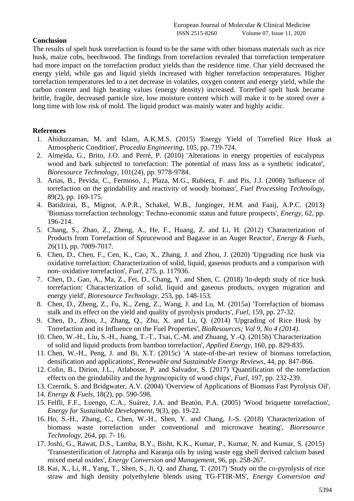## **Conclusion**

The results of spelt husk torrefaction is found to be the same with other biomass materials such as rice husk, maize cobs, beechwood. The findings from torrefaction revealed that torrefaction temperature had more impact on the torrefaction product yields than the residence time. Char yield decreased the energy yield, while gas and liquid yields increased with higher torrefaction temperatures. Higher torrefaction temperatures led to a net decrease in volatiles, oxygen content and energy yield, while the carbon content and high heating values (energy density) increased. Torrefied spelt husk became brittle, fragile, decreased particle size, low moisture content which will make it to be stored over a long time with low risk of mold. The liquid product was mainly water and highly acidic.

#### **References**

- 1. Ahiduzzaman, M. and Islam, A.K.M.S. (2015) 'Energy Yield of Torrefied Rice Husk at Atmospheric Condition', *Procedia Engineering*, 105, pp. 719-724.
- 2. Almeida, G., Brito, J.O. and Perré, P. (2010) 'Alterations in energy properties of eucalyptus wood and bark subjected to torrefaction: The potential of mass loss as a synthetic indicator', *Bioresource Technology*, 101(24), pp. 9778-9784.
- 3. Arias, B., Pevida, C., Fermoso, J., Plaza, M.G., Rubiera, F. and Pis, J.J. (2008) 'Influence of torrefaction on the grindability and reactivity of woody biomass', *Fuel Processing Technology*, 89(2), pp. 169-175.
- 4. Batidzirai, B., Mignot, A.P.R., Schakel, W.B., Junginger, H.M. and Faaij, A.P.C. (2013) 'Biomass torrefaction technology: Techno-economic status and future prospects', *Energy*, 62, pp. 196-214.
- 5. Chang, S., Zhao, Z., Zheng, A., He, F., Huang, Z. and Li, H. (2012) 'Characterization of Products from Torrefaction of Sprucewood and Bagasse in an Auger Reactor', *Energy & Fuels*, 26(11), pp. 7009-7017.
- 6. Chen, D., Chen, F., Cen, K., Cao, X., Zhang, J. and Zhou, J. (2020) 'Upgrading rice husk via oxidative torrefaction: Characterization of solid, liquid, gaseous products and a comparison with non- oxidative torrefaction', *Fuel*, 275, p. 117936.
- 7. Chen, D., Gao, A., Ma, Z., Fei, D., Chang, Y. and Shen, C. (2018) 'In-depth study of rice husk torrefaction: Characterization of solid, liquid and gaseous products, oxygen migration and energy yield', *Bioresource Technology*, 253, pp. 148-153.
- 8. Chen, D., Zheng, Z., Fu, K., Zeng, Z., Wang, J. and Lu, M. (2015a) 'Torrefaction of biomass stalk and its effect on the yield and quality of pyrolysis products', *Fuel*, 159, pp. 27-32.
- 9. Chen, D., Zhou, J., Zhang, Q., Zhu, X. and Lu, Q. (2014) 'Upgrading of Rice Husk by Torrefaction and its Influence on the Fuel Properties', *BioResources; Vol 9, No 4 (2014)*.
- 10. Chen, W.-H., Liu, S.-H., Juang, T.-T., Tsai, C.-M. and Zhuang, Y.-Q. (2015b) 'Characterization of solid and liquid products from bamboo torrefaction', *Applied Energy*, 160, pp. 829-835.
- 11. Chen, W.-H., Peng, J. and Bi, X.T. (2015c) 'A state-of-the-art review of biomass torrefaction, densification and applications', *Renewable and Sustainable Energy Reviews*, 44, pp. 847-866.
- 12. Colin, B., Dirion, J.L., Arlabosse, P. and Salvador, S. (2017) 'Quantification of the torrefaction effects on the grindability and the hygroscopicity of wood chips', *Fuel*, 197, pp. 232-239.
- 13. Czernik, S. and Bridgwater, A.V. (2004) 'Overview of Applications of Biomass Fast Pyrolysis Oil',
- 14. *Energy & Fuels*, 18(2), pp. 590-598.
- 15. Felfli, F.F., Luengo, C.A., Suárez, J.A. and Beatón, P.A. (2005) 'Wood briquette torrefaction', *Energy for Sustainable Development*, 9(3), pp. 19-22.
- 16. Ho, S.-H., Zhang, C., Chen, W.-H., Shen, Y. and Chang, J.-S. (2018) 'Characterization of biomass waste torrefaction under conventional and microwave heating', *Bioresource Technology*, 264, pp. 7- 16.
- 17. Joshi, G., Rawat, D.S., Lamba, B.Y., Bisht, K.K., Kumar, P., Kumar, N. and Kumar, S. (2015) 'Transesterification of Jatropha and Karanja oils by using waste egg shell derived calcium based mixed metal oxides', *Energy Conversion and Management*, 96, pp. 258-267.
- 18. Kai, X., Li, R., Yang, T., Shen, S., Ji, Q. and Zhang, T. (2017) 'Study on the co-pyrolysis of rice straw and high density polyethylene blends using TG-FTIR-MS', *Energy Conversion and*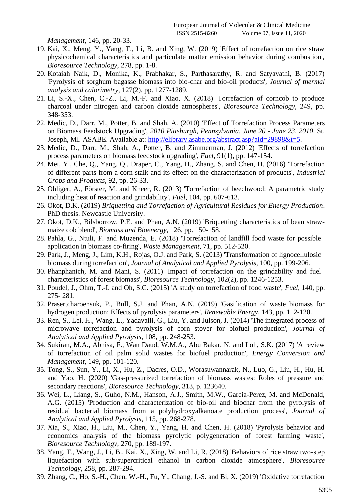*Management*, 146, pp. 20-33.

- 19. Kai, X., Meng, Y., Yang, T., Li, B. and Xing, W. (2019) 'Effect of torrefaction on rice straw physicochemical characteristics and particulate matter emission behavior during combustion', *Bioresource Technology*, 278, pp. 1-8.
- 20. Kotaiah Naik, D., Monika, K., Prabhakar, S., Parthasarathy, R. and Satyavathi, B. (2017) 'Pyrolysis of sorghum bagasse biomass into bio-char and bio-oil products', *Journal of thermal analysis and calorimetry*, 127(2), pp. 1277-1289.
- 21. Li, S.-X., Chen, C.-Z., Li, M.-F. and Xiao, X. (2018) 'Torrefaction of corncob to produce charcoal under nitrogen and carbon dioxide atmospheres', *Bioresource Technology*, 249, pp. 348-353.
- 22. Medic, D., Darr, M., Potter, B. and Shah, A. (2010) 'Effect of Torrefaction Process Parameters on Biomass Feedstock Upgrading', *2010 Pittsburgh, Pennsylvania, June 20 - June 23, 2010*. St. Joseph, MI. ASABE. Available at: [http://elibrary.asabe.org/abstract.asp?aid=29898&t=5.](http://elibrary.asabe.org/abstract.asp?aid=29898&t=5)
- 23. Medic, D., Darr, M., Shah, A., Potter, B. and Zimmerman, J. (2012) 'Effects of torrefaction process parameters on biomass feedstock upgrading', *Fuel*, 91(1), pp. 147-154.
- 24. Mei, Y., Che, Q., Yang, Q., Draper, C., Yang, H., Zhang, S. and Chen, H. (2016) 'Torrefaction of different parts from a corn stalk and its effect on the characterization of products', *Industrial Crops and Products*, 92, pp. 26-33.
- 25. Ohliger, A., Förster, M. and Kneer, R. (2013) 'Torrefaction of beechwood: A parametric study including heat of reaction and grindability', *Fuel*, 104, pp. 607-613.
- 26. Okot, D.K. (2019) *Briquetting and Torrefaction of Agricultural Residues for Energy Production*. PhD thesis. Newcastle University.
- 27. Okot, D.K., Bilsborrow, P.E. and Phan, A.N. (2019) 'Briquetting characteristics of bean strawmaize cob blend', *Biomass and Bioenergy*, 126, pp. 150-158.
- 28. Pahla, G., Ntuli, F. and Muzenda, E. (2018) 'Torrefaction of landfill food waste for possible application in biomass co-firing', *Waste Management*, 71, pp. 512-520.
- 29. Park, J., Meng, J., Lim, K.H., Rojas, O.J. and Park, S. (2013) 'Transformation of lignocellulosic biomass during torrefaction', *Journal of Analytical and Applied Pyrolysis*, 100, pp. 199-206.
- 30. Phanphanich, M. and Mani, S. (2011) 'Impact of torrefaction on the grindability and fuel characteristics of forest biomass', *Bioresource Technology*, 102(2), pp. 1246-1253.
- 31. Poudel, J., Ohm, T.-I. and Oh, S.C. (2015) 'A study on torrefaction of food waste', *Fuel*, 140, pp. 275- 281.
- 32. Prasertcharoensuk, P., Bull, S.J. and Phan, A.N. (2019) 'Gasification of waste biomass for hydrogen production: Effects of pyrolysis parameters', *Renewable Energy*, 143, pp. 112-120.
- 33. Ren, S., Lei, H., Wang, L., Yadavalli, G., Liu, Y. and Julson, J. (2014) 'The integrated process of microwave torrefaction and pyrolysis of corn stover for biofuel production', *Journal of Analytical and Applied Pyrolysis*, 108, pp. 248-253.
- 34. Sukiran, M.A., Abnisa, F., Wan Daud, W.M.A., Abu Bakar, N. and Loh, S.K. (2017) 'A review of torrefaction of oil palm solid wastes for biofuel production', *Energy Conversion and Management*, 149, pp. 101-120.
- 35. Tong, S., Sun, Y., Li, X., Hu, Z., Dacres, O.D., Worasuwannarak, N., Luo, G., Liu, H., Hu, H. and Yao, H. (2020) 'Gas-pressurized torrefaction of biomass wastes: Roles of pressure and secondary reactions', *Bioresource Technology*, 313, p. 123640.
- 36. Wei, L., Liang, S., Guho, N.M., Hanson, A.J., Smith, M.W., Garcia-Perez, M. and McDonald, A.G. (2015) 'Production and characterization of bio-oil and biochar from the pyrolysis of residual bacterial biomass from a polyhydroxyalkanoate production process', *Journal of Analytical and Applied Pyrolysis*, 115, pp. 268-278.
- 37. Xia, S., Xiao, H., Liu, M., Chen, Y., Yang, H. and Chen, H. (2018) 'Pyrolysis behavior and economics analysis of the biomass pyrolytic polygeneration of forest farming waste', *Bioresource Technology*, 270, pp. 189-197.
- 38. Yang, T., Wang, J., Li, B., Kai, X., Xing, W. and Li, R. (2018) 'Behaviors of rice straw two-step liquefaction with sub/supercritical ethanol in carbon dioxide atmosphere', *Bioresource Technology*, 258, pp. 287-294.
- 39. Zhang, C., Ho, S.-H., Chen, W.-H., Fu, Y., Chang, J.-S. and Bi, X. (2019) 'Oxidative torrefaction